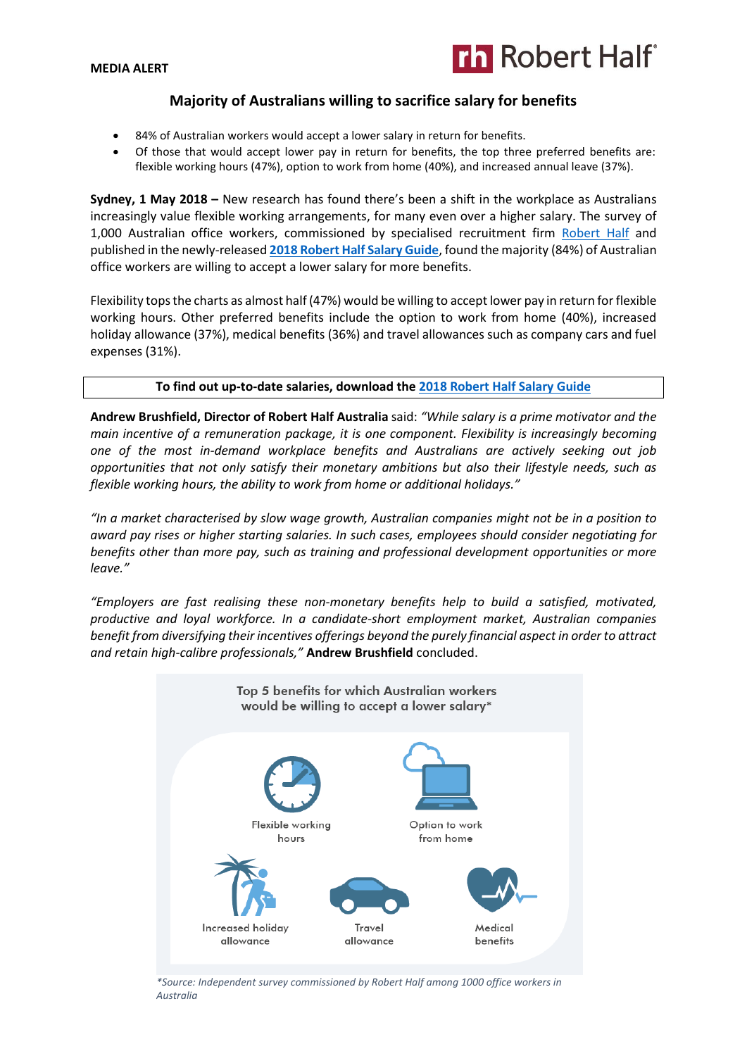## **MEDIA ALERT**



# **Majority of Australians willing to sacrifice salary for benefits**

- 84% of Australian workers would accept a lower salary in return for benefits.
- Of those that would accept lower pay in return for benefits, the top three preferred benefits are: flexible working hours (47%), option to work from home (40%), and increased annual leave (37%).

**Sydney, 1 May 2018 –** New research has found there's been a shift in the workplace as Australians increasingly value flexible working arrangements, for many even over a higher salary. The survey of 1,000 Australian office workers, commissioned by specialised recruitment firm [Robert Half](https://www.roberthalf.com.au/?utm_source=roberthalf&utm_medium=pressrelease&utm_campaign=rh-all-nonspecific-ongoing) and published in the newly-released **[2018 Robert Half Salary Guide](https://www.roberthalf.com.au/research-insights/salary-guide?utm_source=roberthalf&utm_medium=pressrelease&utm_campaign=rh-all-salaryguide2018-ongoing)**, found the majority (84%) of Australian office workers are willing to accept a lower salary for more benefits.

Flexibility tops the charts as almost half (47%) would be willing to accept lower pay in return for flexible working hours. Other preferred benefits include the option to work from home (40%), increased holiday allowance (37%), medical benefits (36%) and travel allowances such as company cars and fuel expenses (31%).

# **To find out up-to-date salaries, download the [2018 Robert Half Salary Guide](https://www.roberthalf.com.au/research-insights/salary-guide?utm_source=roberthalf&utm_medium=pressrelease&utm_campaign=rh-all-salaryguide2018-ongoing)**

**Andrew Brushfield, Director of Robert Half Australia** said: *"While salary is a prime motivator and the main incentive of a remuneration package, it is one component. Flexibility is increasingly becoming one of the most in-demand workplace benefits and Australians are actively seeking out job opportunities that not only satisfy their monetary ambitions but also their lifestyle needs, such as flexible working hours, the ability to work from home or additional holidays."* 

*"In a market characterised by slow wage growth, Australian companies might not be in a position to award pay rises or higher starting salaries. In such cases, employees should consider negotiating for benefits other than more pay, such as training and professional development opportunities or more leave."*

*"Employers are fast realising these non-monetary benefits help to build a satisfied, motivated, productive and loyal workforce. In a candidate-short employment market, Australian companies benefit from diversifying their incentives offerings beyond the purely financial aspect in order to attract and retain high-calibre professionals,"* **Andrew Brushfield** concluded.



*\*Source: Independent survey commissioned by Robert Half among 1000 office workers in Australia*